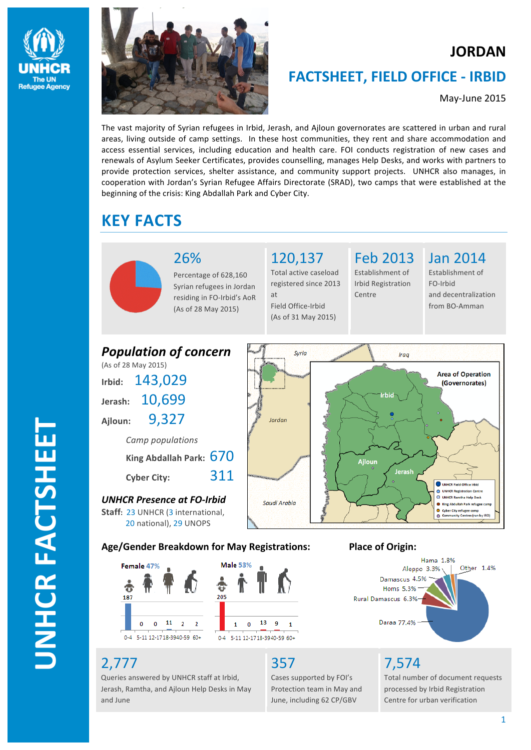



### **JORDAN**

### **FACTSHEET, FIELD OFFICE - IRBID**

May-June 2015

The vast majority of Syrian refugees in Irbid, Jerash, and Ajloun governorates are scattered in urban and rural areas, living outside of camp settings. In these host communities, they rent and share accommodation and access essential services, including education and health care. FOI conducts registration of new cases and renewals of Asylum Seeker Certificates, provides counselling, manages Help Desks, and works with partners to provide protection services, shelter assistance, and community support projects. UNHCR also manages, in cooperation with Jordan's Syrian Refugee Affairs Directorate (SRAD), two camps that were established at the beginning of the crisis: King Abdallah Park and Cyber City.

# **KEY FACTS**



### 26%

Percentage of 628,160 Syrian refugees in Jordan residing in FO-Irbid's AoR (As of 28 May 2015)

120,137 Total active caseload registered since 2013

at 

### Field Office-Irbid (As of 31 May 2015)

Feb 2013 Establishment of Irbid Registration Centre

### Jan 2014

Establishment of FO-Irbid and decentralization from BO-Amman



# **Male 53%**





# 2,777

Queries answered by UNHCR staff at Irbid, Jerash, Ramtha, and Ajloun Help Desks in May and June

### 357

Cases supported by FOI's Protection team in May and June, including 62 CP/GBV

# 7,574

Total number of document requests processed by Irbid Registration Centre for urban verification